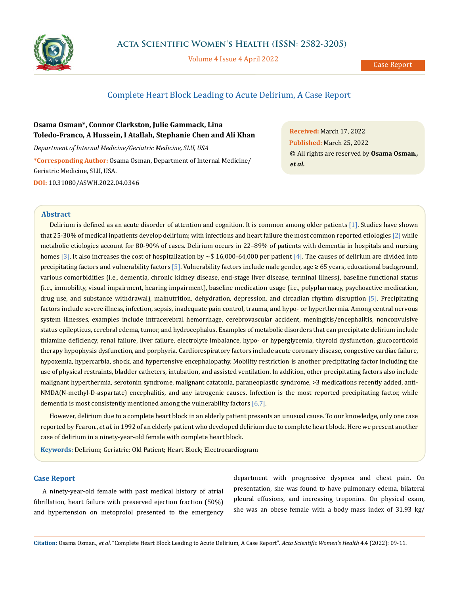

Volume 4 Issue 4 April 2022

# Complete Heart Block Leading to Acute Delirium, A Case Report

# **Osama Osman\*, Connor Clarkston, Julie Gammack, Lina Toledo-Franco, A Hussein, I Atallah, Stephanie Chen and Ali Khan**

*Department of Internal Medicine/Geriatric Medicine, SLU, USA* **\*Corresponding Author:** Osama Osman, Department of Internal Medicine/ Geriatric Medicine, SLU, USA. **DOI:** [10.31080/ASWH.2022.04.0346](http://actascientific.com/ASWH/pdf/ASWH-04-0346.pdf)

**Received:** March 17, 2022 **Published:** March 25, 2022 © All rights are reserved by **Osama Osman***., et al.*

## **Abstract**

Delirium is defined as an acute disorder of attention and cognition. It is common among older patients [1]. Studies have shown that 25-30% of medical inpatients develop delirium; with infections and heart failure the most common reported etiologies [2] while metabolic etiologies account for 80-90% of cases. Delirium occurs in 22–89% of patients with dementia in hospitals and nursing homes [3]. It also increases the cost of hospitalization by  $\sim$ \$ 16,000-64,000 per patient [4]. The causes of delirium are divided into precipitating factors and vulnerability factors [5]. Vulnerability factors include male gender, age ≥ 65 years, educational background, various comorbidities (i.e., dementia, chronic kidney disease, end-stage liver disease, terminal illness), baseline functional status (i.e., immobility, visual impairment, hearing impairment), baseline medication usage (i.e., polypharmacy, psychoactive medication, drug use, and substance withdrawal), malnutrition, dehydration, depression, and circadian rhythm disruption [5]. Precipitating factors include severe illness, infection, sepsis, inadequate pain control, trauma, and hypo- or hyperthermia. Among central nervous system illnesses, examples include intracerebral hemorrhage, cerebrovascular accident, meningitis/encephalitis, nonconvulsive status epilepticus, cerebral edema, tumor, and hydrocephalus. Examples of metabolic disorders that can precipitate delirium include thiamine deficiency, renal failure, liver failure, electrolyte imbalance, hypo- or hyperglycemia, thyroid dysfunction, glucocorticoid therapy hypophysis dysfunction, and porphyria. Cardiorespiratory factors include acute coronary disease, congestive cardiac failure, hypoxemia, hypercarbia, shock, and hypertensive encephalopathy. Mobility restriction is another precipitating factor including the use of physical restraints, bladder catheters, intubation, and assisted ventilation. In addition, other precipitating factors also include malignant hyperthermia, serotonin syndrome, malignant catatonia, paraneoplastic syndrome, >3 medications recently added, anti-NMDA(N-methyl-D-aspartate) encephalitis, and any iatrogenic causes. Infection is the most reported precipitating factor, while dementia is most consistently mentioned among the vulnerability factors [6,7].

However, delirium due to a complete heart block in an elderly patient presents an unusual cause. To our knowledge, only one case reported by Fearon., *et al*. in 1992 of an elderly patient who developed delirium due to complete heart block. Here we present another case of delirium in a ninety-year-old female with complete heart block.

**Keywords:** Delirium; Geriatric; Old Patient; Heart Block; Electrocardiogram

## **Case Report**

A ninety-year-old female with past medical history of atrial fibrillation, heart failure with preserved ejection fraction (50%) and hypertension on metoprolol presented to the emergency department with progressive dyspnea and chest pain. On presentation, she was found to have pulmonary edema, bilateral pleural effusions, and increasing troponins. On physical exam, she was an obese female with a body mass index of 31.93 kg/

**Citation:** Osama Osman*., et al.* "Complete Heart Block Leading to Acute Delirium, A Case Report". *Acta Scientific Women's Health* 4.4 (2022): 09-11.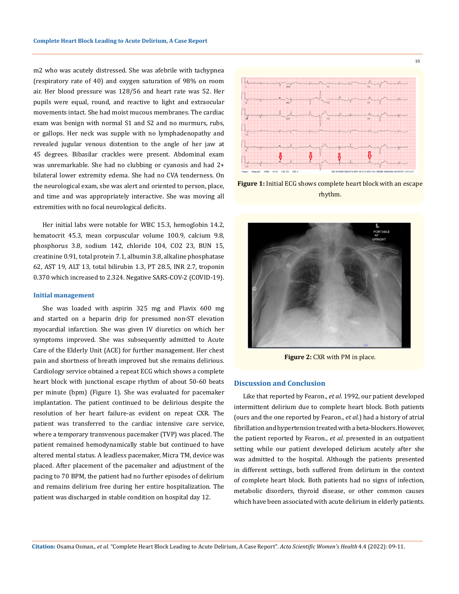m2 who was acutely distressed. She was afebrile with tachypnea (respiratory rate of 40) and oxygen saturation of 98% on room air. Her blood pressure was 128/56 and heart rate was 52. Her pupils were equal, round, and reactive to light and extraocular movements intact. She had moist mucous membranes. The cardiac exam was benign with normal S1 and S2 and no murmurs, rubs, or gallops. Her neck was supple with no lymphadenopathy and revealed jugular venous distention to the angle of her jaw at 45 degrees. Bibasilar crackles were present. Abdominal exam was unremarkable. She had no clubbing or cyanosis and had 2+ bilateral lower extremity edema. She had no CVA tenderness. On the neurological exam, she was alert and oriented to person, place, and time and was appropriately interactive. She was moving all extremities with no focal neurological deficits.

Her initial labs were notable for WBC 15.3, hemoglobin 14.2, hematocrit 45.3, mean corpuscular volume 100.9, calcium 9.8, phosphorus 3.8, sodium 142, chloride 104, CO2 23, BUN 15, creatinine 0.91, total protein 7.1, albumin 3.8, alkaline phosphatase 62, AST 19, ALT 13, total bilirubin 1.3, PT 28.5, INR 2.7, troponin 0.370 which increased to 2.324. Negative SARS-COV-2 (COVID-19).

#### **Initial management**

She was loaded with aspirin 325 mg and Plavix 600 mg and started on a heparin drip for presumed non-ST elevation myocardial infarction. She was given IV diuretics on which her symptoms improved. She was subsequently admitted to Acute Care of the Elderly Unit (ACE) for further management. Her chest pain and shortness of breath improved but she remains delirious. Cardiology service obtained a repeat ECG which shows a complete heart block with junctional escape rhythm of about 50-60 beats per minute (bpm) (Figure 1). She was evaluated for pacemaker implantation. The patient continued to be delirious despite the resolution of her heart failure-as evident on repeat CXR. The patient was transferred to the cardiac intensive care service, where a temporary transvenous pacemaker (TVP) was placed. The patient remained hemodynamically stable but continued to have altered mental status. A leadless pacemaker, Micra TM, device was placed. After placement of the pacemaker and adjustment of the pacing to 70 BPM, the patient had no further episodes of delirium and remains delirium free during her entire hospitalization. The patient was discharged in stable condition on hospital day 12.



10

**Figure 1:** Initial ECG shows complete heart block with an escape rhythm.



**Figure 2:** CXR with PM in place.

### **Discussion and Conclusion**

Like that reported by Fearon., *et al*. 1992, our patient developed intermittent delirium due to complete heart block. Both patients (ours and the one reported by Fearon., *et al*.) had a history of atrial fibrillation and hypertension treated with a beta-blockers. However, the patient reported by Fearon., *et al*. presented in an outpatient setting while our patient developed delirium acutely after she was admitted to the hospital. Although the patients presented in different settings, both suffered from delirium in the context of complete heart block. Both patients had no signs of infection, metabolic disorders, thyroid disease, or other common causes which have been associated with acute delirium in elderly patients.